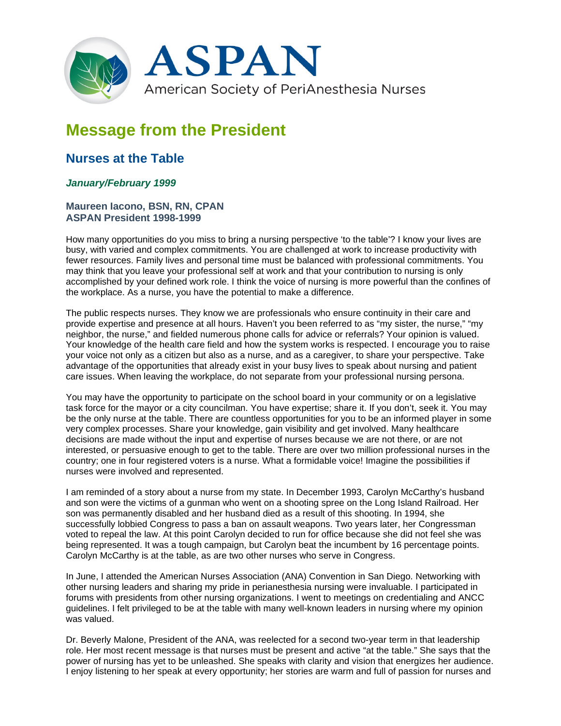

## **Message from the President**

## **Nurses at the Table**

## *January/February 1999*

## **Maureen Iacono, BSN, RN, CPAN ASPAN President 1998-1999**

How many opportunities do you miss to bring a nursing perspective 'to the table'? I know your lives are busy, with varied and complex commitments. You are challenged at work to increase productivity with fewer resources. Family lives and personal time must be balanced with professional commitments. You may think that you leave your professional self at work and that your contribution to nursing is only accomplished by your defined work role. I think the voice of nursing is more powerful than the confines of the workplace. As a nurse, you have the potential to make a difference.

The public respects nurses. They know we are professionals who ensure continuity in their care and provide expertise and presence at all hours. Haven't you been referred to as "my sister, the nurse," "my neighbor, the nurse," and fielded numerous phone calls for advice or referrals? Your opinion is valued. Your knowledge of the health care field and how the system works is respected. I encourage you to raise your voice not only as a citizen but also as a nurse, and as a caregiver, to share your perspective. Take advantage of the opportunities that already exist in your busy lives to speak about nursing and patient care issues. When leaving the workplace, do not separate from your professional nursing persona.

You may have the opportunity to participate on the school board in your community or on a legislative task force for the mayor or a city councilman. You have expertise; share it. If you don't, seek it. You may be the only nurse at the table. There are countless opportunities for you to be an informed player in some very complex processes. Share your knowledge, gain visibility and get involved. Many healthcare decisions are made without the input and expertise of nurses because we are not there, or are not interested, or persuasive enough to get to the table. There are over two million professional nurses in the country; one in four registered voters is a nurse. What a formidable voice! Imagine the possibilities if nurses were involved and represented.

I am reminded of a story about a nurse from my state. In December 1993, Carolyn McCarthy's husband and son were the victims of a gunman who went on a shooting spree on the Long Island Railroad. Her son was permanently disabled and her husband died as a result of this shooting. In 1994, she successfully lobbied Congress to pass a ban on assault weapons. Two years later, her Congressman voted to repeal the law. At this point Carolyn decided to run for office because she did not feel she was being represented. It was a tough campaign, but Carolyn beat the incumbent by 16 percentage points. Carolyn McCarthy is at the table, as are two other nurses who serve in Congress.

In June, I attended the American Nurses Association (ANA) Convention in San Diego. Networking with other nursing leaders and sharing my pride in perianesthesia nursing were invaluable. I participated in forums with presidents from other nursing organizations. I went to meetings on credentialing and ANCC guidelines. I felt privileged to be at the table with many well-known leaders in nursing where my opinion was valued.

Dr. Beverly Malone, President of the ANA, was reelected for a second two-year term in that leadership role. Her most recent message is that nurses must be present and active "at the table." She says that the power of nursing has yet to be unleashed. She speaks with clarity and vision that energizes her audience. I enjoy listening to her speak at every opportunity; her stories are warm and full of passion for nurses and